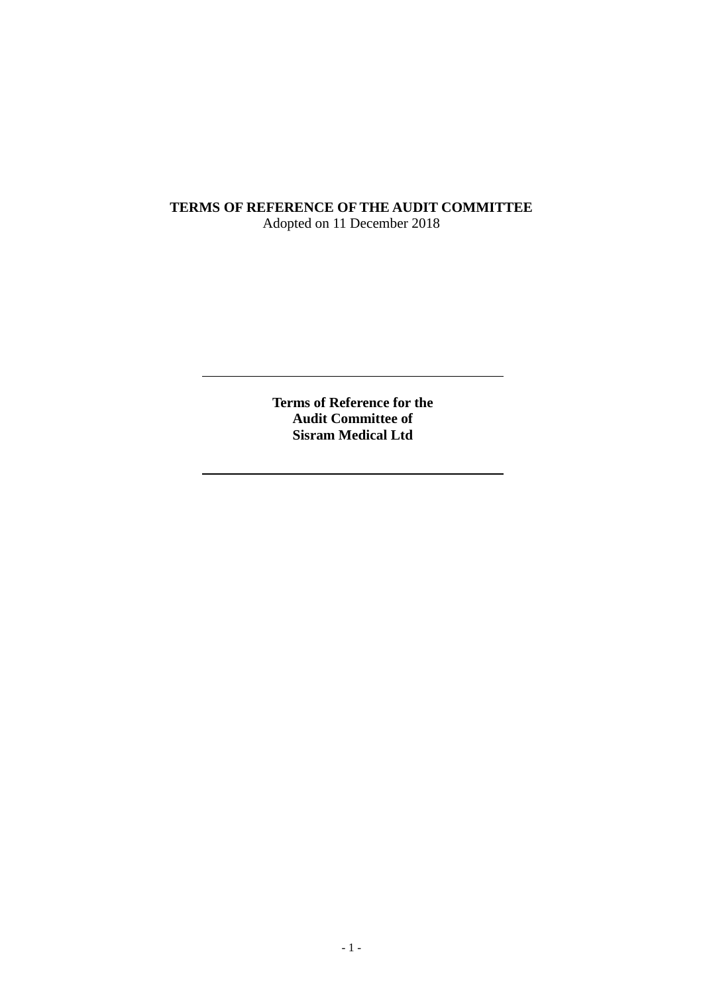# **TERMS OF REFERENCE OF THE AUDIT COMMITTEE** Adopted on 11 December 2018

**Terms of Reference for the Audit Committee of Sisram Medical Ltd**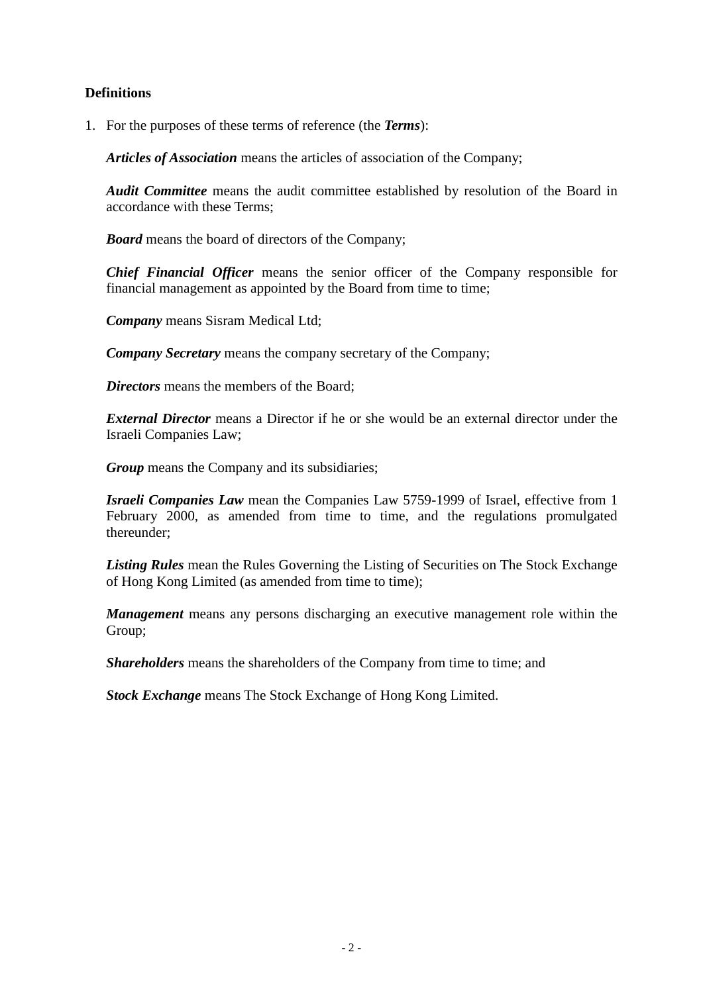# **Definitions**

1. For the purposes of these terms of reference (the *Terms*):

*Articles of Association* means the articles of association of the Company;

*Audit Committee* means the audit committee established by resolution of the Board in accordance with these Terms;

*Board* means the board of directors of the Company;

*Chief Financial Officer* means the senior officer of the Company responsible for financial management as appointed by the Board from time to time;

*Company* means Sisram Medical Ltd;

*Company Secretary* means the company secretary of the Company;

*Directors* means the members of the Board;

*External Director* means a Director if he or she would be an external director under the Israeli Companies Law;

*Group* means the Company and its subsidiaries;

*Israeli Companies Law* mean the Companies Law 5759-1999 of Israel, effective from 1 February 2000, as amended from time to time, and the regulations promulgated thereunder;

*Listing Rules* mean the Rules Governing the Listing of Securities on The Stock Exchange of Hong Kong Limited (as amended from time to time);

*Management* means any persons discharging an executive management role within the Group;

*Shareholders* means the shareholders of the Company from time to time; and

*Stock Exchange* means The Stock Exchange of Hong Kong Limited.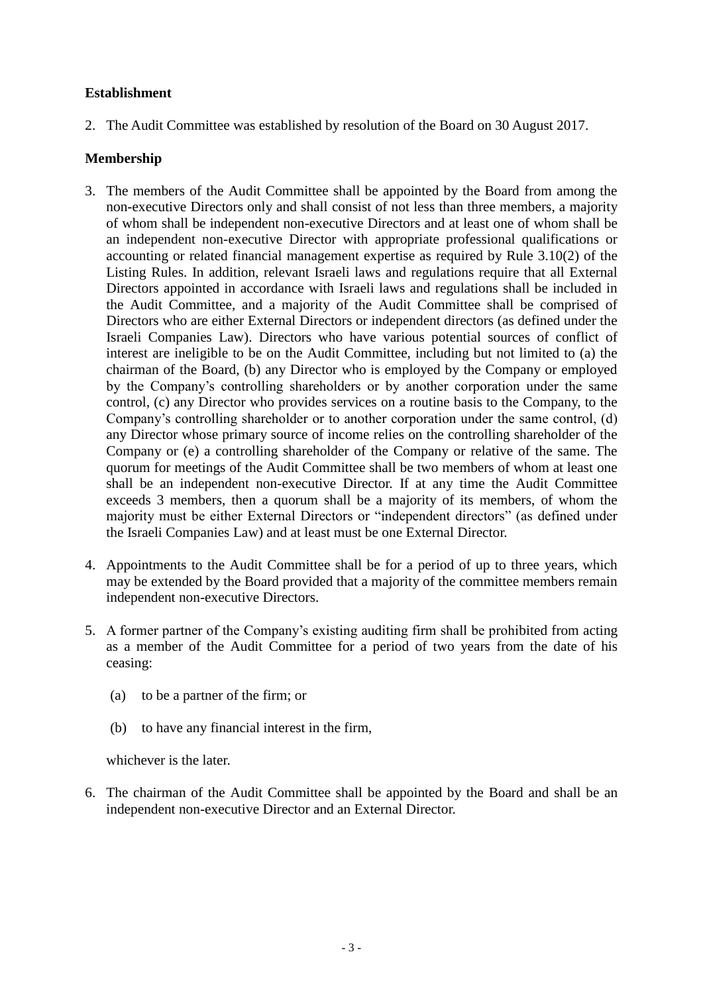# **Establishment**

2. The Audit Committee was established by resolution of the Board on 30 August 2017.

# **Membership**

- 3. The members of the Audit Committee shall be appointed by the Board from among the non-executive Directors only and shall consist of not less than three members, a majority of whom shall be independent non-executive Directors and at least one of whom shall be an independent non-executive Director with appropriate professional qualifications or accounting or related financial management expertise as required by Rule 3.10(2) of the Listing Rules. In addition, relevant Israeli laws and regulations require that all External Directors appointed in accordance with Israeli laws and regulations shall be included in the Audit Committee, and a majority of the Audit Committee shall be comprised of Directors who are either External Directors or independent directors (as defined under the Israeli Companies Law). Directors who have various potential sources of conflict of interest are ineligible to be on the Audit Committee, including but not limited to (a) the chairman of the Board, (b) any Director who is employed by the Company or employed by the Company's controlling shareholders or by another corporation under the same control, (c) any Director who provides services on a routine basis to the Company, to the Company's controlling shareholder or to another corporation under the same control, (d) any Director whose primary source of income relies on the controlling shareholder of the Company or (e) a controlling shareholder of the Company or relative of the same. The quorum for meetings of the Audit Committee shall be two members of whom at least one shall be an independent non-executive Director. If at any time the Audit Committee exceeds 3 members, then a quorum shall be a majority of its members, of whom the majority must be either External Directors or "independent directors" (as defined under the Israeli Companies Law) and at least must be one External Director.
- 4. Appointments to the Audit Committee shall be for a period of up to three years, which may be extended by the Board provided that a majority of the committee members remain independent non-executive Directors.
- 5. A former partner of the Company's existing auditing firm shall be prohibited from acting as a member of the Audit Committee for a period of two years from the date of his ceasing:
	- (a) to be a partner of the firm; or
	- (b) to have any financial interest in the firm,

whichever is the later.

6. The chairman of the Audit Committee shall be appointed by the Board and shall be an independent non-executive Director and an External Director.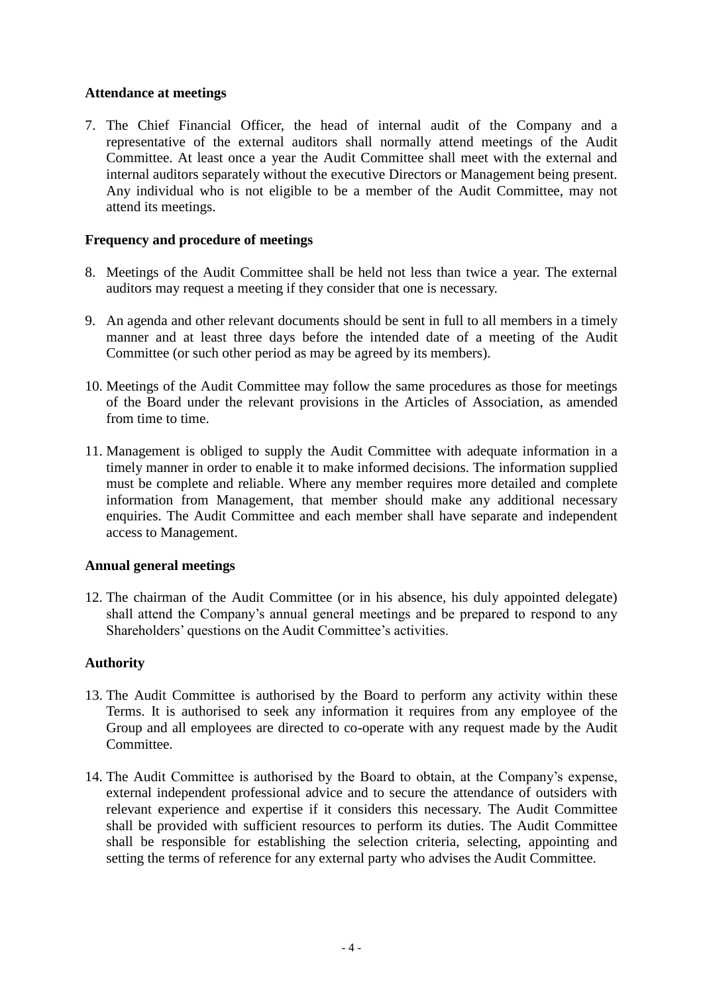#### **Attendance at meetings**

7. The Chief Financial Officer, the head of internal audit of the Company and a representative of the external auditors shall normally attend meetings of the Audit Committee. At least once a year the Audit Committee shall meet with the external and internal auditors separately without the executive Directors or Management being present. Any individual who is not eligible to be a member of the Audit Committee, may not attend its meetings.

### **Frequency and procedure of meetings**

- 8. Meetings of the Audit Committee shall be held not less than twice a year. The external auditors may request a meeting if they consider that one is necessary.
- 9. An agenda and other relevant documents should be sent in full to all members in a timely manner and at least three days before the intended date of a meeting of the Audit Committee (or such other period as may be agreed by its members).
- 10. Meetings of the Audit Committee may follow the same procedures as those for meetings of the Board under the relevant provisions in the Articles of Association, as amended from time to time.
- 11. Management is obliged to supply the Audit Committee with adequate information in a timely manner in order to enable it to make informed decisions. The information supplied must be complete and reliable. Where any member requires more detailed and complete information from Management, that member should make any additional necessary enquiries. The Audit Committee and each member shall have separate and independent access to Management.

#### **Annual general meetings**

12. The chairman of the Audit Committee (or in his absence, his duly appointed delegate) shall attend the Company's annual general meetings and be prepared to respond to any Shareholders' questions on the Audit Committee's activities.

#### **Authority**

- 13. The Audit Committee is authorised by the Board to perform any activity within these Terms. It is authorised to seek any information it requires from any employee of the Group and all employees are directed to co-operate with any request made by the Audit Committee.
- 14. The Audit Committee is authorised by the Board to obtain, at the Company's expense, external independent professional advice and to secure the attendance of outsiders with relevant experience and expertise if it considers this necessary. The Audit Committee shall be provided with sufficient resources to perform its duties. The Audit Committee shall be responsible for establishing the selection criteria, selecting, appointing and setting the terms of reference for any external party who advises the Audit Committee.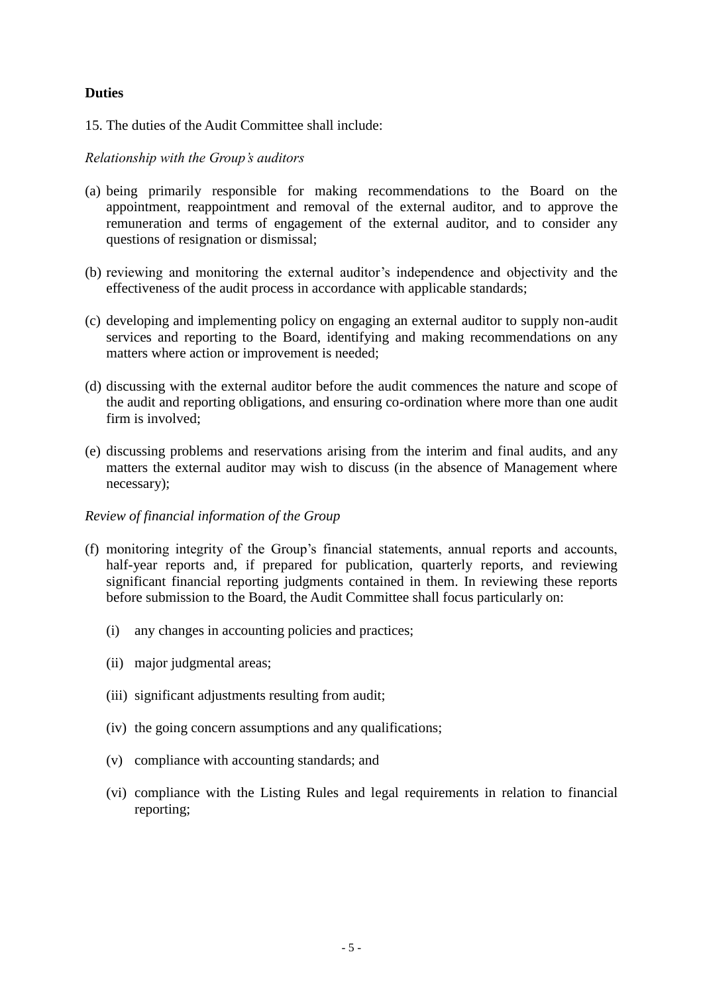# **Duties**

15. The duties of the Audit Committee shall include:

# *Relationship with the Group's auditors*

- (a) being primarily responsible for making recommendations to the Board on the appointment, reappointment and removal of the external auditor, and to approve the remuneration and terms of engagement of the external auditor, and to consider any questions of resignation or dismissal;
- (b) reviewing and monitoring the external auditor's independence and objectivity and the effectiveness of the audit process in accordance with applicable standards;
- (c) developing and implementing policy on engaging an external auditor to supply non-audit services and reporting to the Board, identifying and making recommendations on any matters where action or improvement is needed;
- (d) discussing with the external auditor before the audit commences the nature and scope of the audit and reporting obligations, and ensuring co-ordination where more than one audit firm is involved;
- (e) discussing problems and reservations arising from the interim and final audits, and any matters the external auditor may wish to discuss (in the absence of Management where necessary);

#### *Review of financial information of the Group*

- (f) monitoring integrity of the Group's financial statements, annual reports and accounts, half-year reports and, if prepared for publication, quarterly reports, and reviewing significant financial reporting judgments contained in them. In reviewing these reports before submission to the Board, the Audit Committee shall focus particularly on:
	- (i) any changes in accounting policies and practices;
	- (ii) major judgmental areas;
	- (iii) significant adjustments resulting from audit;
	- (iv) the going concern assumptions and any qualifications;
	- (v) compliance with accounting standards; and
	- (vi) compliance with the Listing Rules and legal requirements in relation to financial reporting;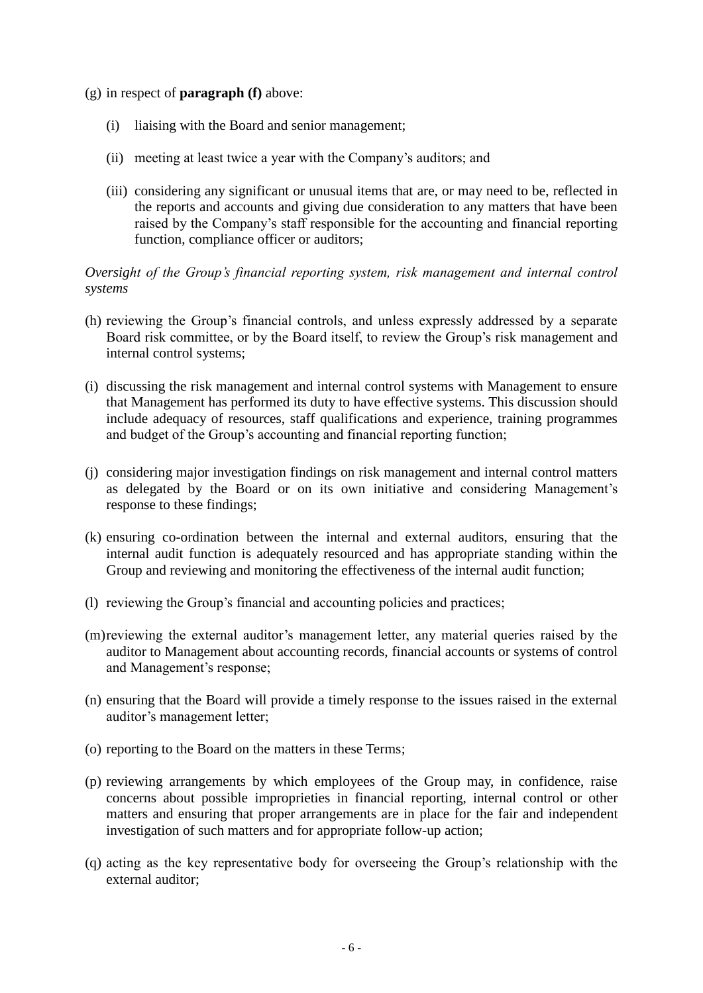- (g) in respect of **paragraph (f)** above:
	- (i) liaising with the Board and senior management;
	- (ii) meeting at least twice a year with the Company's auditors; and
	- (iii) considering any significant or unusual items that are, or may need to be, reflected in the reports and accounts and giving due consideration to any matters that have been raised by the Company's staff responsible for the accounting and financial reporting function, compliance officer or auditors;

### *Oversight of the Group's financial reporting system, risk management and internal control systems*

- (h) reviewing the Group's financial controls, and unless expressly addressed by a separate Board risk committee, or by the Board itself, to review the Group's risk management and internal control systems;
- (i) discussing the risk management and internal control systems with Management to ensure that Management has performed its duty to have effective systems. This discussion should include adequacy of resources, staff qualifications and experience, training programmes and budget of the Group's accounting and financial reporting function;
- (j) considering major investigation findings on risk management and internal control matters as delegated by the Board or on its own initiative and considering Management's response to these findings;
- (k) ensuring co-ordination between the internal and external auditors, ensuring that the internal audit function is adequately resourced and has appropriate standing within the Group and reviewing and monitoring the effectiveness of the internal audit function;
- (l) reviewing the Group's financial and accounting policies and practices;
- (m)reviewing the external auditor's management letter, any material queries raised by the auditor to Management about accounting records, financial accounts or systems of control and Management's response;
- (n) ensuring that the Board will provide a timely response to the issues raised in the external auditor's management letter;
- (o) reporting to the Board on the matters in these Terms;
- (p) reviewing arrangements by which employees of the Group may, in confidence, raise concerns about possible improprieties in financial reporting, internal control or other matters and ensuring that proper arrangements are in place for the fair and independent investigation of such matters and for appropriate follow-up action;
- (q) acting as the key representative body for overseeing the Group's relationship with the external auditor;